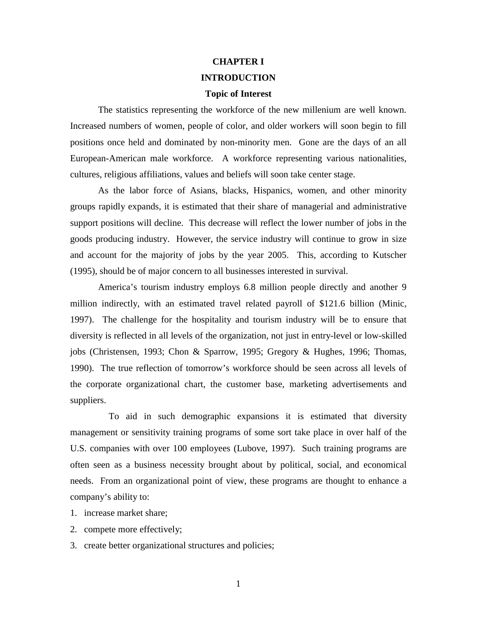# **CHAPTER I INTRODUCTION**

# **Topic of Interest**

The statistics representing the workforce of the new millenium are well known. Increased numbers of women, people of color, and older workers will soon begin to fill positions once held and dominated by non-minority men. Gone are the days of an all European-American male workforce. A workforce representing various nationalities, cultures, religious affiliations, values and beliefs will soon take center stage.

As the labor force of Asians, blacks, Hispanics, women, and other minority groups rapidly expands, it is estimated that their share of managerial and administrative support positions will decline. This decrease will reflect the lower number of jobs in the goods producing industry. However, the service industry will continue to grow in size and account for the majority of jobs by the year 2005. This, according to Kutscher (1995), should be of major concern to all businesses interested in survival.

America's tourism industry employs 6.8 million people directly and another 9 million indirectly, with an estimated travel related payroll of \$121.6 billion (Minic, 1997). The challenge for the hospitality and tourism industry will be to ensure that diversity is reflected in all levels of the organization, not just in entry-level or low-skilled jobs (Christensen, 1993; Chon & Sparrow, 1995; Gregory & Hughes, 1996; Thomas, 1990). The true reflection of tomorrow's workforce should be seen across all levels of the corporate organizational chart, the customer base, marketing advertisements and suppliers.

To aid in such demographic expansions it is estimated that diversity management or sensitivity training programs of some sort take place in over half of the U.S. companies with over 100 employees (Lubove, 1997). Such training programs are often seen as a business necessity brought about by political, social, and economical needs. From an organizational point of view, these programs are thought to enhance a company's ability to:

- 1. increase market share;
- 2. compete more effectively;
- 3. create better organizational structures and policies;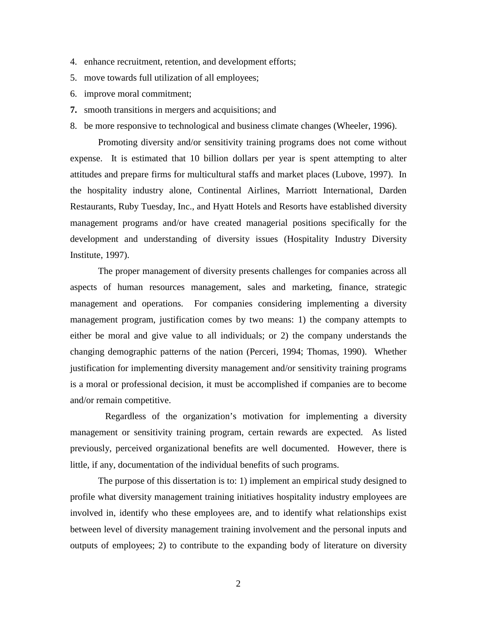- 4. enhance recruitment, retention, and development efforts;
- 5. move towards full utilization of all employees;
- 6. improve moral commitment;
- **7.** smooth transitions in mergers and acquisitions; and
- 8. be more responsive to technological and business climate changes (Wheeler, 1996).

Promoting diversity and/or sensitivity training programs does not come without expense. It is estimated that 10 billion dollars per year is spent attempting to alter attitudes and prepare firms for multicultural staffs and market places (Lubove, 1997). In the hospitality industry alone, Continental Airlines, Marriott International, Darden Restaurants, Ruby Tuesday, Inc., and Hyatt Hotels and Resorts have established diversity management programs and/or have created managerial positions specifically for the development and understanding of diversity issues (Hospitality Industry Diversity Institute, 1997).

The proper management of diversity presents challenges for companies across all aspects of human resources management, sales and marketing, finance, strategic management and operations. For companies considering implementing a diversity management program, justification comes by two means: 1) the company attempts to either be moral and give value to all individuals; or 2) the company understands the changing demographic patterns of the nation (Perceri, 1994; Thomas, 1990). Whether justification for implementing diversity management and/or sensitivity training programs is a moral or professional decision, it must be accomplished if companies are to become and/or remain competitive.

Regardless of the organization's motivation for implementing a diversity management or sensitivity training program, certain rewards are expected. As listed previously, perceived organizational benefits are well documented. However, there is little, if any, documentation of the individual benefits of such programs.

The purpose of this dissertation is to: 1) implement an empirical study designed to profile what diversity management training initiatives hospitality industry employees are involved in, identify who these employees are, and to identify what relationships exist between level of diversity management training involvement and the personal inputs and outputs of employees; 2) to contribute to the expanding body of literature on diversity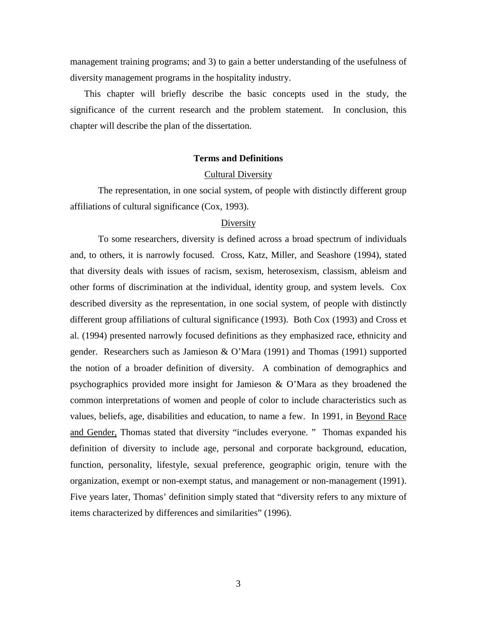management training programs; and 3) to gain a better understanding of the usefulness of diversity management programs in the hospitality industry.

This chapter will briefly describe the basic concepts used in the study, the significance of the current research and the problem statement. In conclusion, this chapter will describe the plan of the dissertation.

## **Terms and Definitions**

## Cultural Diversity

The representation, in one social system, of people with distinctly different group affiliations of cultural significance (Cox, 1993).

## Diversity

To some researchers, diversity is defined across a broad spectrum of individuals and, to others, it is narrowly focused. Cross, Katz, Miller, and Seashore (1994), stated that diversity deals with issues of racism, sexism, heterosexism, classism, ableism and other forms of discrimination at the individual, identity group, and system levels. Cox described diversity as the representation, in one social system, of people with distinctly different group affiliations of cultural significance (1993). Both Cox (1993) and Cross et al. (1994) presented narrowly focused definitions as they emphasized race, ethnicity and gender. Researchers such as Jamieson & O'Mara (1991) and Thomas (1991) supported the notion of a broader definition of diversity. A combination of demographics and psychographics provided more insight for Jamieson & O'Mara as they broadened the common interpretations of women and people of color to include characteristics such as values, beliefs, age, disabilities and education, to name a few. In 1991, in Beyond Race and Gender, Thomas stated that diversity "includes everyone. " Thomas expanded his definition of diversity to include age, personal and corporate background, education, function, personality, lifestyle, sexual preference, geographic origin, tenure with the organization, exempt or non-exempt status, and management or non-management (1991). Five years later, Thomas' definition simply stated that "diversity refers to any mixture of items characterized by differences and similarities" (1996).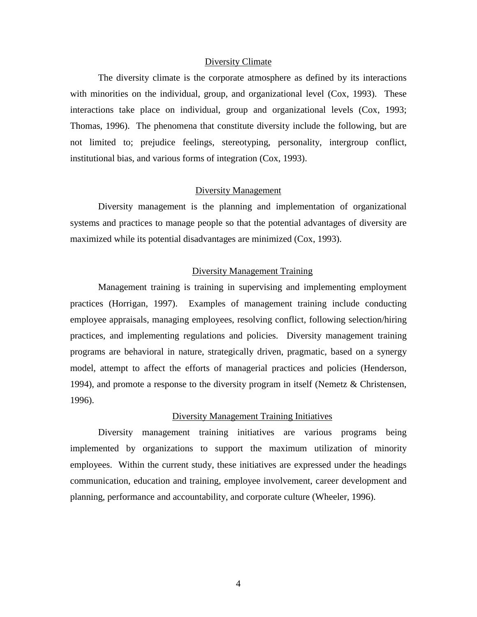## Diversity Climate

The diversity climate is the corporate atmosphere as defined by its interactions with minorities on the individual, group, and organizational level (Cox, 1993). These interactions take place on individual, group and organizational levels (Cox, 1993; Thomas, 1996). The phenomena that constitute diversity include the following, but are not limited to; prejudice feelings, stereotyping, personality, intergroup conflict, institutional bias, and various forms of integration (Cox, 1993).

## Diversity Management

Diversity management is the planning and implementation of organizational systems and practices to manage people so that the potential advantages of diversity are maximized while its potential disadvantages are minimized (Cox, 1993).

# Diversity Management Training

Management training is training in supervising and implementing employment practices (Horrigan, 1997). Examples of management training include conducting employee appraisals, managing employees, resolving conflict, following selection/hiring practices, and implementing regulations and policies. Diversity management training programs are behavioral in nature, strategically driven, pragmatic, based on a synergy model, attempt to affect the efforts of managerial practices and policies (Henderson, 1994), and promote a response to the diversity program in itself (Nemetz & Christensen, 1996).

## Diversity Management Training Initiatives

Diversity management training initiatives are various programs being implemented by organizations to support the maximum utilization of minority employees. Within the current study, these initiatives are expressed under the headings communication, education and training, employee involvement, career development and planning, performance and accountability, and corporate culture (Wheeler, 1996).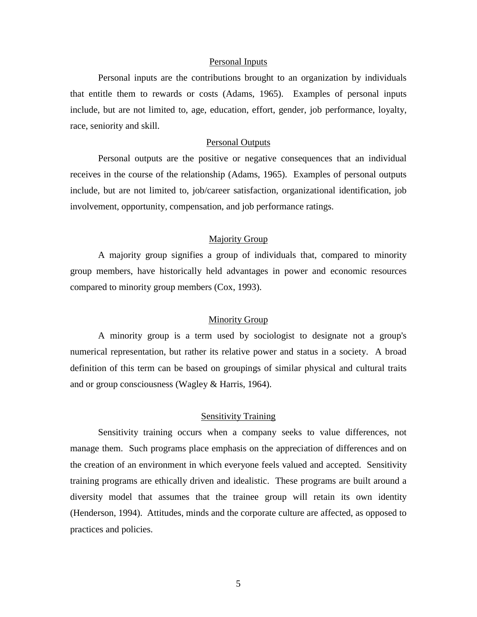#### Personal Inputs

Personal inputs are the contributions brought to an organization by individuals that entitle them to rewards or costs (Adams, 1965). Examples of personal inputs include, but are not limited to, age, education, effort, gender, job performance, loyalty, race, seniority and skill.

## Personal Outputs

Personal outputs are the positive or negative consequences that an individual receives in the course of the relationship (Adams, 1965). Examples of personal outputs include, but are not limited to, job/career satisfaction, organizational identification, job involvement, opportunity, compensation, and job performance ratings.

## Majority Group

A majority group signifies a group of individuals that, compared to minority group members, have historically held advantages in power and economic resources compared to minority group members (Cox, 1993).

# Minority Group

A minority group is a term used by sociologist to designate not a group's numerical representation, but rather its relative power and status in a society. A broad definition of this term can be based on groupings of similar physical and cultural traits and or group consciousness (Wagley & Harris, 1964).

## Sensitivity Training

Sensitivity training occurs when a company seeks to value differences, not manage them. Such programs place emphasis on the appreciation of differences and on the creation of an environment in which everyone feels valued and accepted. Sensitivity training programs are ethically driven and idealistic. These programs are built around a diversity model that assumes that the trainee group will retain its own identity (Henderson, 1994). Attitudes, minds and the corporate culture are affected, as opposed to practices and policies.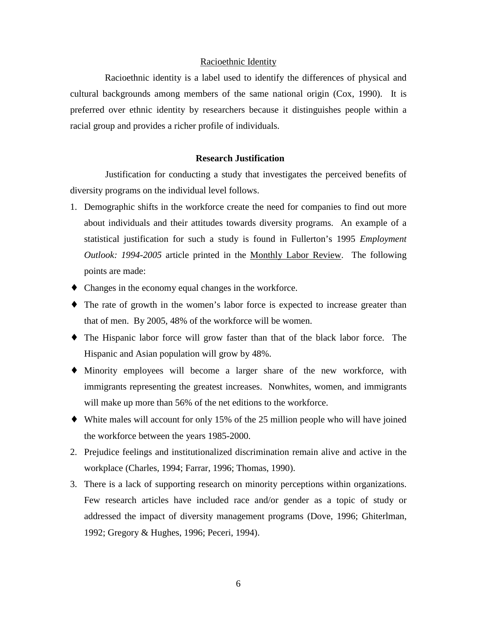## Racioethnic Identity

 Racioethnic identity is a label used to identify the differences of physical and cultural backgrounds among members of the same national origin (Cox, 1990). It is preferred over ethnic identity by researchers because it distinguishes people within a racial group and provides a richer profile of individuals.

## **Research Justification**

Justification for conducting a study that investigates the perceived benefits of diversity programs on the individual level follows.

- 1. Demographic shifts in the workforce create the need for companies to find out more about individuals and their attitudes towards diversity programs. An example of a statistical justification for such a study is found in Fullerton's 1995 *Employment Outlook: 1994-2005* article printed in the Monthly Labor Review. The following points are made:
- ♦ Changes in the economy equal changes in the workforce.
- ♦ The rate of growth in the women's labor force is expected to increase greater than that of men. By 2005, 48% of the workforce will be women.
- ♦ The Hispanic labor force will grow faster than that of the black labor force. The Hispanic and Asian population will grow by 48%.
- ♦ Minority employees will become a larger share of the new workforce, with immigrants representing the greatest increases. Nonwhites, women, and immigrants will make up more than 56% of the net editions to the workforce.
- ♦ White males will account for only 15% of the 25 million people who will have joined the workforce between the years 1985-2000.
- 2. Prejudice feelings and institutionalized discrimination remain alive and active in the workplace (Charles, 1994; Farrar, 1996; Thomas, 1990).
- 3. There is a lack of supporting research on minority perceptions within organizations. Few research articles have included race and/or gender as a topic of study or addressed the impact of diversity management programs (Dove, 1996; Ghiterlman, 1992; Gregory & Hughes, 1996; Peceri, 1994).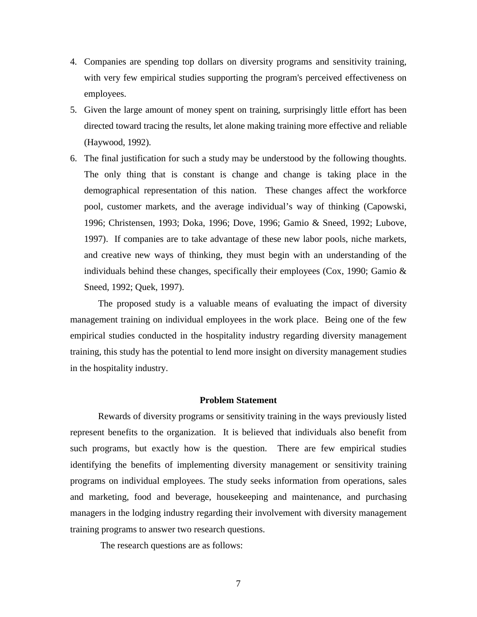- 4. Companies are spending top dollars on diversity programs and sensitivity training, with very few empirical studies supporting the program's perceived effectiveness on employees.
- 5. Given the large amount of money spent on training, surprisingly little effort has been directed toward tracing the results, let alone making training more effective and reliable (Haywood, 1992).
- 6. The final justification for such a study may be understood by the following thoughts. The only thing that is constant is change and change is taking place in the demographical representation of this nation. These changes affect the workforce pool, customer markets, and the average individual's way of thinking (Capowski, 1996; Christensen, 1993; Doka, 1996; Dove, 1996; Gamio & Sneed, 1992; Lubove, 1997). If companies are to take advantage of these new labor pools, niche markets, and creative new ways of thinking, they must begin with an understanding of the individuals behind these changes, specifically their employees (Cox, 1990; Gamio & Sneed, 1992; Quek, 1997).

The proposed study is a valuable means of evaluating the impact of diversity management training on individual employees in the work place. Being one of the few empirical studies conducted in the hospitality industry regarding diversity management training, this study has the potential to lend more insight on diversity management studies in the hospitality industry.

# **Problem Statement**

Rewards of diversity programs or sensitivity training in the ways previously listed represent benefits to the organization. It is believed that individuals also benefit from such programs, but exactly how is the question. There are few empirical studies identifying the benefits of implementing diversity management or sensitivity training programs on individual employees. The study seeks information from operations, sales and marketing, food and beverage, housekeeping and maintenance, and purchasing managers in the lodging industry regarding their involvement with diversity management training programs to answer two research questions.

The research questions are as follows: